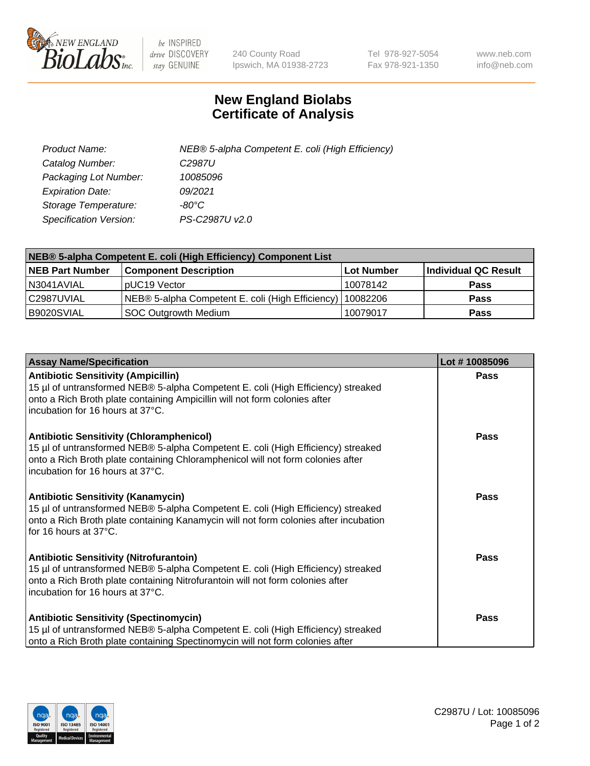

 $be$  INSPIRED drive DISCOVERY stay GENUINE

240 County Road Ipswich, MA 01938-2723 Tel 978-927-5054 Fax 978-921-1350 www.neb.com info@neb.com

## **New England Biolabs Certificate of Analysis**

| Product Name:           | NEB® 5-alpha Competent E. coli (High Efficiency) |
|-------------------------|--------------------------------------------------|
| Catalog Number:         | C <sub>2987</sub> U                              |
| Packaging Lot Number:   | 10085096                                         |
| <b>Expiration Date:</b> | 09/2021                                          |
| Storage Temperature:    | -80°C                                            |
| Specification Version:  | PS-C2987U v2.0                                   |

| NEB® 5-alpha Competent E. coli (High Efficiency) Component List |                                                  |            |                      |  |
|-----------------------------------------------------------------|--------------------------------------------------|------------|----------------------|--|
| <b>NEB Part Number</b>                                          | <b>Component Description</b>                     | Lot Number | Individual QC Result |  |
| N3041AVIAL                                                      | pUC19 Vector                                     | 10078142   | <b>Pass</b>          |  |
| C2987UVIAL                                                      | NEB® 5-alpha Competent E. coli (High Efficiency) | 10082206   | <b>Pass</b>          |  |
| B9020SVIAL                                                      | SOC Outgrowth Medium                             | 10079017   | <b>Pass</b>          |  |

| <b>Assay Name/Specification</b>                                                                                                                                                                                                                            | Lot #10085096 |
|------------------------------------------------------------------------------------------------------------------------------------------------------------------------------------------------------------------------------------------------------------|---------------|
| <b>Antibiotic Sensitivity (Ampicillin)</b><br>15 µl of untransformed NEB® 5-alpha Competent E. coli (High Efficiency) streaked<br>onto a Rich Broth plate containing Ampicillin will not form colonies after<br>incubation for 16 hours at 37°C.           | Pass          |
| <b>Antibiotic Sensitivity (Chloramphenicol)</b><br>15 µl of untransformed NEB® 5-alpha Competent E. coli (High Efficiency) streaked<br>onto a Rich Broth plate containing Chloramphenicol will not form colonies after<br>incubation for 16 hours at 37°C. | Pass          |
| <b>Antibiotic Sensitivity (Kanamycin)</b><br>15 µl of untransformed NEB® 5-alpha Competent E. coli (High Efficiency) streaked<br>onto a Rich Broth plate containing Kanamycin will not form colonies after incubation<br>for 16 hours at 37°C.             | Pass          |
| <b>Antibiotic Sensitivity (Nitrofurantoin)</b><br>15 µl of untransformed NEB® 5-alpha Competent E. coli (High Efficiency) streaked<br>onto a Rich Broth plate containing Nitrofurantoin will not form colonies after<br>incubation for 16 hours at 37°C.   | <b>Pass</b>   |
| <b>Antibiotic Sensitivity (Spectinomycin)</b><br>15 µl of untransformed NEB® 5-alpha Competent E. coli (High Efficiency) streaked<br>onto a Rich Broth plate containing Spectinomycin will not form colonies after                                         | Pass          |